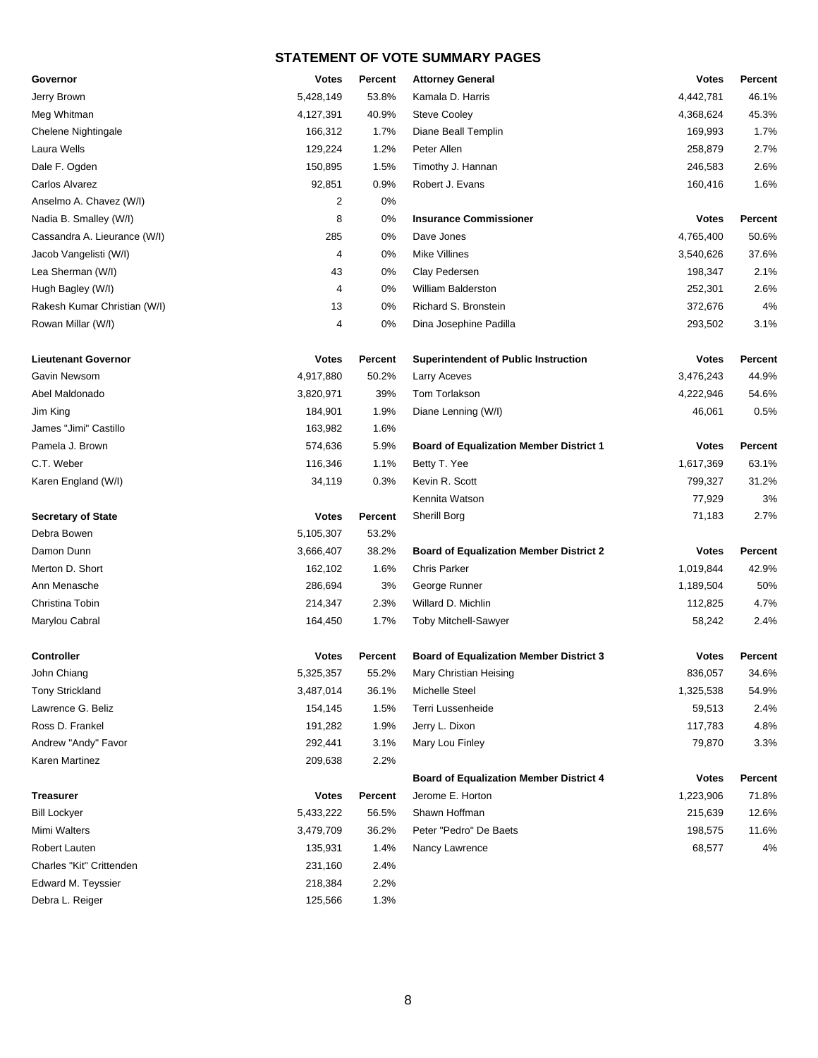| Governor                     | <b>Votes</b> | Percent        | <b>Attorney General</b>                        | <b>Votes</b> | <b>Percent</b> |
|------------------------------|--------------|----------------|------------------------------------------------|--------------|----------------|
| Jerry Brown                  | 5,428,149    | 53.8%          | Kamala D. Harris                               | 4,442,781    | 46.1%          |
| Meg Whitman                  | 4,127,391    | 40.9%          | <b>Steve Cooley</b>                            | 4,368,624    | 45.3%          |
| Chelene Nightingale          | 166,312      | 1.7%           | Diane Beall Templin                            | 169,993      | 1.7%           |
| Laura Wells                  | 129,224      | 1.2%           | Peter Allen                                    | 258,879      | 2.7%           |
| Dale F. Ogden                | 150,895      | 1.5%           | Timothy J. Hannan                              | 246,583      | 2.6%           |
| Carlos Alvarez               | 92,851       | 0.9%           | Robert J. Evans                                | 160,416      | 1.6%           |
| Anselmo A. Chavez (W/I)      | 2            | 0%             |                                                |              |                |
| Nadia B. Smalley (W/I)       | 8            | 0%             | <b>Insurance Commissioner</b>                  | <b>Votes</b> | <b>Percent</b> |
| Cassandra A. Lieurance (W/I) | 285          | 0%             | Dave Jones                                     | 4,765,400    | 50.6%          |
| Jacob Vangelisti (W/I)       | 4            | 0%             | Mike Villines                                  | 3,540,626    | 37.6%          |
| Lea Sherman (W/I)            | 43           | 0%             | Clay Pedersen                                  | 198,347      | 2.1%           |
| Hugh Bagley (W/I)            | 4            | $0\%$          | William Balderston                             | 252,301      | 2.6%           |
| Rakesh Kumar Christian (W/I) | 13           | 0%             | Richard S. Bronstein                           | 372,676      | 4%             |
| Rowan Millar (W/I)           | 4            | 0%             | Dina Josephine Padilla                         | 293,502      | 3.1%           |
| <b>Lieutenant Governor</b>   | <b>Votes</b> | <b>Percent</b> | <b>Superintendent of Public Instruction</b>    | <b>Votes</b> | Percent        |
| Gavin Newsom                 | 4,917,880    | 50.2%          | Larry Aceves                                   | 3,476,243    | 44.9%          |
| Abel Maldonado               | 3,820,971    | 39%            | Tom Torlakson                                  | 4,222,946    | 54.6%          |
| Jim King                     | 184,901      | 1.9%           | Diane Lenning (W/I)                            | 46,061       | 0.5%           |
| James "Jimi" Castillo        | 163,982      | 1.6%           |                                                |              |                |
| Pamela J. Brown              | 574,636      | 5.9%           | <b>Board of Equalization Member District 1</b> | <b>Votes</b> | Percent        |
| C.T. Weber                   | 116,346      | 1.1%           | Betty T. Yee                                   | 1,617,369    | 63.1%          |
| Karen England (W/I)          | 34,119       | 0.3%           | Kevin R. Scott                                 | 799,327      | 31.2%          |
|                              |              |                | Kennita Watson                                 | 77,929       | 3%             |
| <b>Secretary of State</b>    | <b>Votes</b> | Percent        | Sherill Borg                                   | 71,183       | 2.7%           |
| Debra Bowen                  | 5,105,307    | 53.2%          |                                                |              |                |
| Damon Dunn                   | 3,666,407    | 38.2%          | <b>Board of Equalization Member District 2</b> | <b>Votes</b> | Percent        |
| Merton D. Short              | 162,102      | 1.6%           | <b>Chris Parker</b>                            | 1,019,844    | 42.9%          |
| Ann Menasche                 | 286,694      | 3%             | George Runner                                  | 1,189,504    | 50%            |
| Christina Tobin              | 214,347      | 2.3%           | Willard D. Michlin                             | 112,825      | 4.7%           |
| Marylou Cabral               | 164,450      | 1.7%           | <b>Toby Mitchell-Sawyer</b>                    | 58,242       | 2.4%           |
| <b>Controller</b>            | <b>Votes</b> | Percent        | <b>Board of Equalization Member District 3</b> | <b>Votes</b> | Percent        |
| John Chiang                  | 5,325,357    | 55.2%          | Mary Christian Heising                         | 836,057      | 34.6%          |
| <b>Tony Strickland</b>       | 3,487,014    | 36.1%          | Michelle Steel                                 | 1,325,538    | 54.9%          |
| Lawrence G. Beliz            | 154,145      | 1.5%           | Terri Lussenheide                              | 59,513       | 2.4%           |
| Ross D. Frankel              | 191,282      | 1.9%           | Jerry L. Dixon                                 | 117,783      | 4.8%           |
| Andrew "Andy" Favor          | 292,441      | 3.1%           | Mary Lou Finley                                | 79,870       | 3.3%           |
| Karen Martinez               | 209,638      | 2.2%           |                                                |              |                |
|                              |              |                | <b>Board of Equalization Member District 4</b> | <b>Votes</b> | Percent        |
| <b>Treasurer</b>             | <b>Votes</b> | Percent        | Jerome E. Horton                               | 1,223,906    | 71.8%          |
| <b>Bill Lockyer</b>          | 5,433,222    | 56.5%          | Shawn Hoffman                                  | 215,639      | 12.6%          |
| Mimi Walters                 | 3,479,709    | 36.2%          | Peter "Pedro" De Baets                         | 198,575      | 11.6%          |
| Robert Lauten                | 135,931      | 1.4%           | Nancy Lawrence                                 | 68,577       | 4%             |
| Charles "Kit" Crittenden     | 231,160      | 2.4%           |                                                |              |                |
| Edward M. Teyssier           | 218,384      | 2.2%           |                                                |              |                |
| Debra L. Reiger              | 125,566      | 1.3%           |                                                |              |                |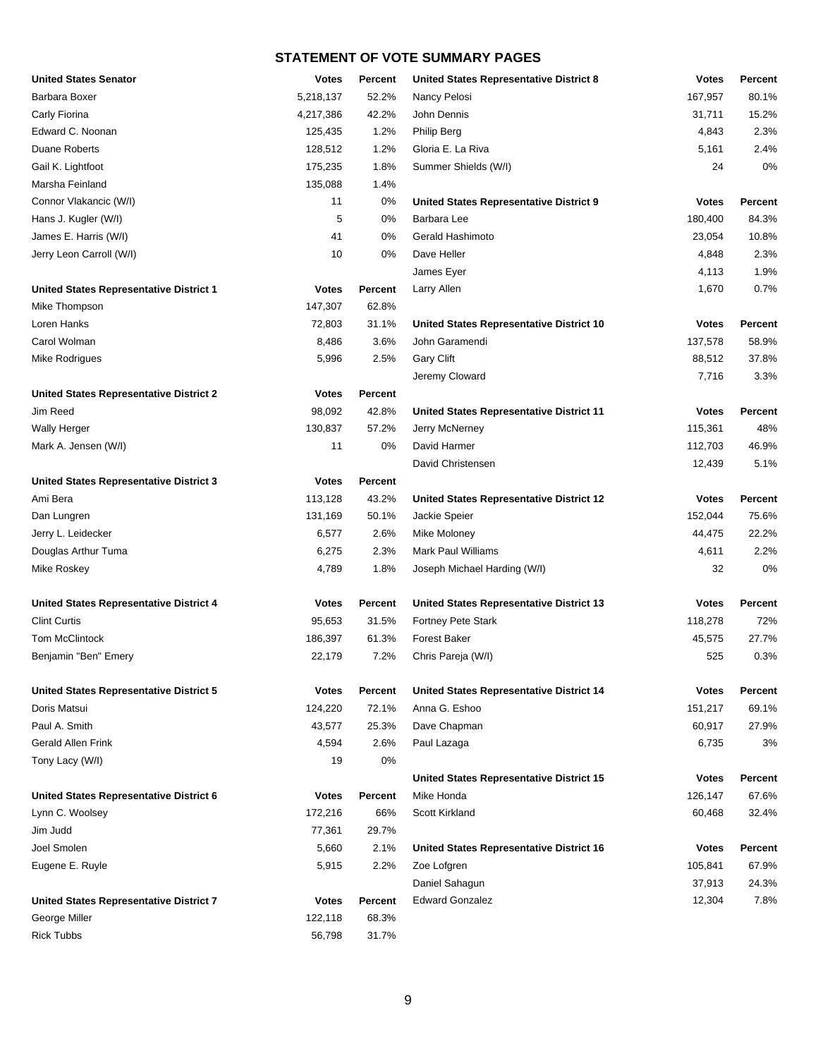| <b>United States Senator</b>                   | Votes        | <b>Percent</b> | <b>United States Representative District 8</b>  | <b>Votes</b> | <b>Percent</b> |
|------------------------------------------------|--------------|----------------|-------------------------------------------------|--------------|----------------|
| Barbara Boxer                                  | 5,218,137    | 52.2%          | Nancy Pelosi                                    | 167,957      | 80.1%          |
| Carly Fiorina                                  | 4,217,386    | 42.2%          | John Dennis                                     | 31,711       | 15.2%          |
| Edward C. Noonan                               | 125,435      | 1.2%           | <b>Philip Berg</b>                              | 4,843        | 2.3%           |
| <b>Duane Roberts</b>                           | 128,512      | 1.2%           | Gloria E. La Riva                               | 5,161        | 2.4%           |
| Gail K. Lightfoot                              | 175,235      | 1.8%           | Summer Shields (W/I)                            | 24           | 0%             |
| Marsha Feinland                                | 135,088      | 1.4%           |                                                 |              |                |
| Connor Vlakancic (W/I)                         | 11           | 0%             | United States Representative District 9         | <b>Votes</b> | Percent        |
| Hans J. Kugler (W/I)                           | 5            | 0%             | Barbara Lee                                     | 180,400      | 84.3%          |
| James E. Harris (W/I)                          | 41           | 0%             | Gerald Hashimoto                                | 23,054       | 10.8%          |
| Jerry Leon Carroll (W/I)                       | 10           | 0%             | Dave Heller                                     | 4,848        | 2.3%           |
|                                                |              |                | James Eyer                                      | 4,113        | 1.9%           |
| <b>United States Representative District 1</b> | <b>Votes</b> | <b>Percent</b> | Larry Allen                                     | 1,670        | 0.7%           |
| Mike Thompson                                  | 147,307      | 62.8%          |                                                 |              |                |
| Loren Hanks                                    | 72,803       | 31.1%          | United States Representative District 10        | <b>Votes</b> | Percent        |
| Carol Wolman                                   | 8,486        | 3.6%           | John Garamendi                                  | 137,578      | 58.9%          |
| Mike Rodrigues                                 | 5,996        | 2.5%           | <b>Gary Clift</b>                               | 88,512       | 37.8%          |
|                                                |              |                | Jeremy Cloward                                  | 7,716        | 3.3%           |
| <b>United States Representative District 2</b> | <b>Votes</b> | <b>Percent</b> |                                                 |              |                |
| Jim Reed                                       | 98,092       | 42.8%          | <b>United States Representative District 11</b> | <b>Votes</b> | <b>Percent</b> |
| <b>Wally Herger</b>                            | 130,837      | 57.2%          | Jerry McNerney                                  | 115,361      | 48%            |
| Mark A. Jensen (W/I)                           | 11           | 0%             | David Harmer                                    | 112,703      | 46.9%          |
|                                                |              |                | David Christensen                               | 12,439       | 5.1%           |
| <b>United States Representative District 3</b> | <b>Votes</b> | Percent        |                                                 |              |                |
| Ami Bera                                       | 113,128      | 43.2%          | United States Representative District 12        | <b>Votes</b> | Percent        |
| Dan Lungren                                    | 131,169      | 50.1%          | Jackie Speier                                   | 152,044      | 75.6%          |
| Jerry L. Leidecker                             | 6,577        | 2.6%           | Mike Moloney                                    | 44,475       | 22.2%          |
| Douglas Arthur Tuma                            | 6,275        | 2.3%           | <b>Mark Paul Williams</b>                       | 4,611        | 2.2%           |
| Mike Roskey                                    | 4,789        | 1.8%           | Joseph Michael Harding (W/I)                    | 32           | 0%             |
|                                                |              |                |                                                 |              |                |
| <b>United States Representative District 4</b> | <b>Votes</b> | <b>Percent</b> | United States Representative District 13        | <b>Votes</b> | <b>Percent</b> |
| <b>Clint Curtis</b>                            | 95,653       | 31.5%          | Fortney Pete Stark                              | 118,278      | 72%            |
| <b>Tom McClintock</b>                          | 186,397      | 61.3%          | <b>Forest Baker</b>                             | 45,575       | 27.7%          |
| Benjamin "Ben" Emery                           | 22,179       | 7.2%           | Chris Pareja (W/I)                              | 525          | 0.3%           |
|                                                |              |                |                                                 |              |                |
| <b>United States Representative District 5</b> | <b>Votes</b> | <b>Percent</b> | <b>United States Representative District 14</b> | <b>Votes</b> | Percent        |
| Doris Matsui                                   | 124,220      | 72.1%          | Anna G. Eshoo                                   | 151,217      | 69.1%          |
| Paul A. Smith                                  | 43,577       | 25.3%          | Dave Chapman                                    | 60,917       | 27.9%          |
| Gerald Allen Frink                             | 4,594        | 2.6%           | Paul Lazaga                                     | 6,735        | 3%             |
| Tony Lacy (W/I)                                | 19           | 0%             |                                                 |              |                |
|                                                |              |                | United States Representative District 15        | <b>Votes</b> | Percent        |
| United States Representative District 6        | <b>Votes</b> | Percent        | Mike Honda                                      | 126,147      | 67.6%          |
| Lynn C. Woolsey                                | 172,216      | 66%            | Scott Kirkland                                  | 60,468       | 32.4%          |
| Jim Judd                                       | 77,361       | 29.7%          |                                                 |              |                |
| Joel Smolen                                    | 5,660        | 2.1%           | United States Representative District 16        | <b>Votes</b> | Percent        |
| Eugene E. Ruyle                                | 5,915        | 2.2%           | Zoe Lofgren                                     | 105,841      | 67.9%          |
|                                                |              |                | Daniel Sahagun                                  | 37,913       | 24.3%          |
| <b>United States Representative District 7</b> | <b>Votes</b> | Percent        | <b>Edward Gonzalez</b>                          | 12,304       | 7.8%           |
| George Miller                                  | 122,118      | 68.3%          |                                                 |              |                |
| <b>Rick Tubbs</b>                              | 56,798       | 31.7%          |                                                 |              |                |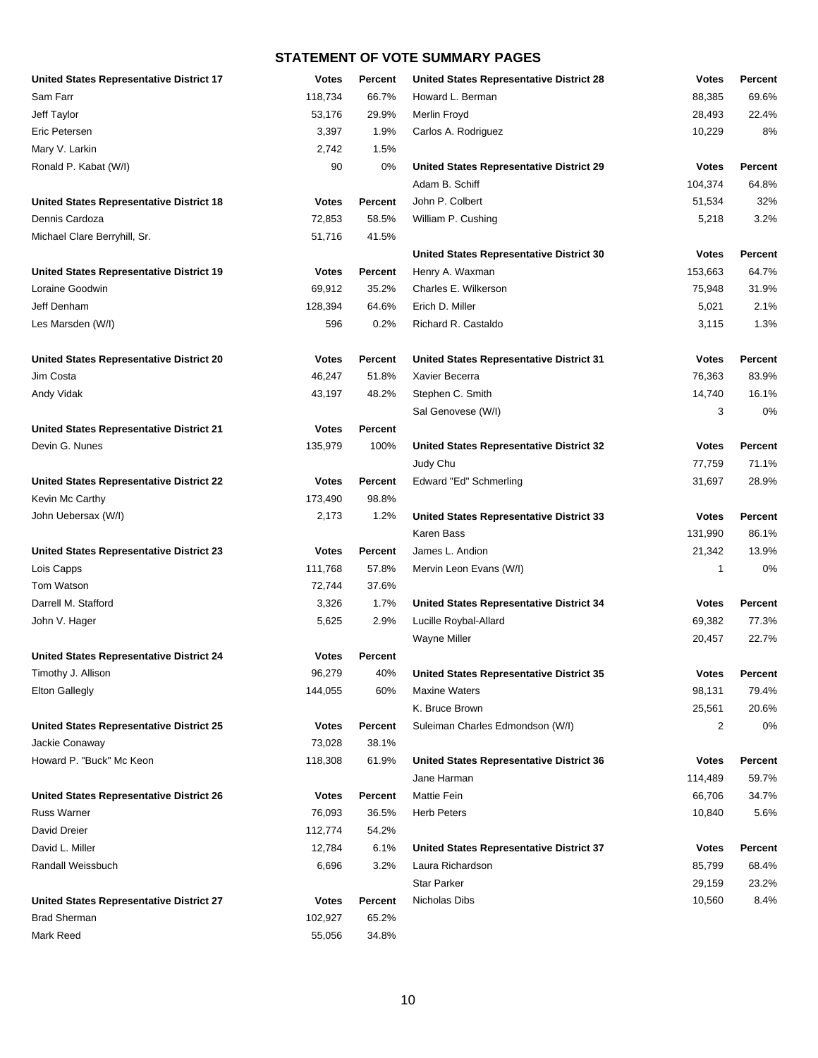| United States Representative District 17        | Votes        | <b>Percent</b> | <b>United States Representative District 28</b> | <b>Votes</b> | Percent        |
|-------------------------------------------------|--------------|----------------|-------------------------------------------------|--------------|----------------|
| Sam Farr                                        | 118,734      | 66.7%          | Howard L. Berman                                | 88,385       | 69.6%          |
| Jeff Taylor                                     | 53,176       | 29.9%          | Merlin Froyd                                    | 28,493       | 22.4%          |
| Eric Petersen                                   | 3,397        | 1.9%           | Carlos A. Rodriguez                             | 10,229       | 8%             |
| Mary V. Larkin                                  | 2,742        | 1.5%           |                                                 |              |                |
| Ronald P. Kabat (W/I)                           | 90           | 0%             | <b>United States Representative District 29</b> | <b>Votes</b> | Percent        |
|                                                 |              |                | Adam B. Schiff                                  | 104,374      | 64.8%          |
| <b>United States Representative District 18</b> | <b>Votes</b> | <b>Percent</b> | John P. Colbert                                 | 51,534       | 32%            |
| Dennis Cardoza                                  | 72,853       | 58.5%          | William P. Cushing                              | 5,218        | 3.2%           |
| Michael Clare Berryhill, Sr.                    | 51,716       | 41.5%          |                                                 |              |                |
|                                                 |              |                | <b>United States Representative District 30</b> | <b>Votes</b> | Percent        |
| <b>United States Representative District 19</b> | <b>Votes</b> | <b>Percent</b> | Henry A. Waxman                                 | 153,663      | 64.7%          |
| Loraine Goodwin                                 | 69,912       | 35.2%          | Charles E. Wilkerson                            | 75,948       | 31.9%          |
| Jeff Denham                                     | 128,394      | 64.6%          | Erich D. Miller                                 | 5,021        | 2.1%           |
| Les Marsden (W/I)                               | 596          | 0.2%           | Richard R. Castaldo                             | 3,115        | 1.3%           |
|                                                 |              |                |                                                 |              |                |
| <b>United States Representative District 20</b> | <b>Votes</b> | <b>Percent</b> | <b>United States Representative District 31</b> | <b>Votes</b> | Percent        |
| Jim Costa                                       | 46,247       | 51.8%          | Xavier Becerra                                  | 76,363       | 83.9%          |
| Andy Vidak                                      | 43,197       | 48.2%          | Stephen C. Smith                                | 14,740       | 16.1%          |
|                                                 |              |                | Sal Genovese (W/I)                              | 3            | 0%             |
| United States Representative District 21        | <b>Votes</b> | <b>Percent</b> |                                                 |              |                |
| Devin G. Nunes                                  | 135,979      | 100%           | United States Representative District 32        | <b>Votes</b> | Percent        |
|                                                 |              |                | Judy Chu                                        | 77,759       | 71.1%          |
| <b>United States Representative District 22</b> | <b>Votes</b> | <b>Percent</b> | Edward "Ed" Schmerling                          | 31,697       | 28.9%          |
| Kevin Mc Carthy                                 | 173,490      | 98.8%          |                                                 |              |                |
| John Uebersax (W/I)                             | 2,173        | 1.2%           |                                                 |              | Percent        |
|                                                 |              |                | <b>United States Representative District 33</b> | <b>Votes</b> |                |
|                                                 |              |                | Karen Bass                                      | 131,990      | 86.1%          |
| <b>United States Representative District 23</b> | Votes        | <b>Percent</b> | James L. Andion                                 | 21,342       | 13.9%          |
| Lois Capps                                      | 111,768      | 57.8%          | Mervin Leon Evans (W/I)                         | 1            | 0%             |
| Tom Watson                                      | 72,744       | 37.6%          |                                                 |              |                |
| Darrell M. Stafford                             | 3,326        | 1.7%           | United States Representative District 34        | <b>Votes</b> | Percent        |
| John V. Hager                                   | 5,625        | 2.9%           | Lucille Roybal-Allard                           | 69,382       | 77.3%          |
|                                                 |              |                | Wayne Miller                                    | 20,457       | 22.7%          |
| <b>United States Representative District 24</b> | Votes        | <b>Percent</b> |                                                 |              |                |
| Timothy J. Allison                              | 96,279       | 40%            | United States Representative District 35        | Votes        | <b>Percent</b> |
| <b>Elton Gallegly</b>                           | 144,055      | 60%            | <b>Maxine Waters</b>                            | 98,131       | 79.4%          |
|                                                 |              |                | K. Bruce Brown                                  | 25,561       | 20.6%          |
| <b>United States Representative District 25</b> | <b>Votes</b> | Percent        | Suleiman Charles Edmondson (W/I)                | 2            | 0%             |
| Jackie Conaway                                  | 73,028       | 38.1%          |                                                 |              |                |
| Howard P. "Buck" Mc Keon                        | 118,308      | 61.9%          | United States Representative District 36        | <b>Votes</b> | <b>Percent</b> |
|                                                 |              |                | Jane Harman                                     | 114,489      | 59.7%          |
| United States Representative District 26        | <b>Votes</b> | <b>Percent</b> | <b>Mattie Fein</b>                              | 66,706       | 34.7%          |
| <b>Russ Warner</b>                              | 76,093       | 36.5%          | <b>Herb Peters</b>                              | 10,840       | 5.6%           |
| David Dreier                                    | 112,774      | 54.2%          |                                                 |              |                |
| David L. Miller                                 | 12,784       | 6.1%           | United States Representative District 37        | <b>Votes</b> | Percent        |
| Randall Weissbuch                               | 6,696        | 3.2%           | Laura Richardson                                | 85,799       | 68.4%          |
|                                                 |              |                | <b>Star Parker</b>                              | 29,159       | 23.2%          |
| <b>United States Representative District 27</b> | Votes        | <b>Percent</b> | Nicholas Dibs                                   | 10,560       | 8.4%           |
| <b>Brad Sherman</b>                             | 102,927      | 65.2%          |                                                 |              |                |
| Mark Reed                                       | 55,056       | 34.8%          |                                                 |              |                |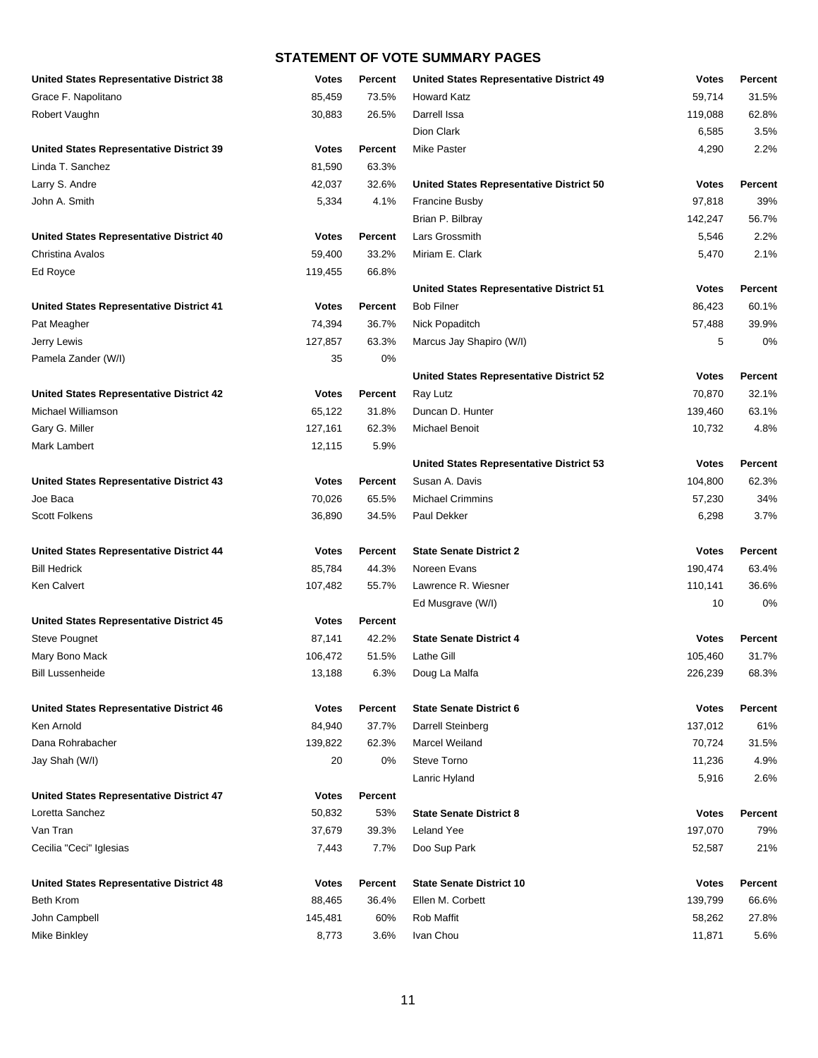| <b>United States Representative District 38</b> | <b>Votes</b> | Percent        | <b>United States Representative District 49</b> | <b>Votes</b> | Percent        |
|-------------------------------------------------|--------------|----------------|-------------------------------------------------|--------------|----------------|
| Grace F. Napolitano                             | 85,459       | 73.5%          | <b>Howard Katz</b>                              | 59,714       | 31.5%          |
| Robert Vaughn                                   | 30,883       | 26.5%          | Darrell Issa                                    | 119,088      | 62.8%          |
|                                                 |              |                | Dion Clark                                      | 6,585        | 3.5%           |
| <b>United States Representative District 39</b> | <b>Votes</b> | <b>Percent</b> | <b>Mike Paster</b>                              | 4,290        | 2.2%           |
| Linda T. Sanchez                                | 81,590       | 63.3%          |                                                 |              |                |
| Larry S. Andre                                  | 42,037       | 32.6%          | United States Representative District 50        | <b>Votes</b> | Percent        |
| John A. Smith                                   | 5,334        | 4.1%           | Francine Busby                                  | 97,818       | 39%            |
|                                                 |              |                | Brian P. Bilbray                                | 142,247      | 56.7%          |
| <b>United States Representative District 40</b> | <b>Votes</b> | Percent        | Lars Grossmith                                  | 5,546        | 2.2%           |
| Christina Avalos                                | 59,400       | 33.2%          | Miriam E. Clark                                 | 5,470        | 2.1%           |
| Ed Royce                                        | 119,455      | 66.8%          |                                                 |              |                |
|                                                 |              |                | United States Representative District 51        | <b>Votes</b> | Percent        |
| <b>United States Representative District 41</b> | <b>Votes</b> | <b>Percent</b> | <b>Bob Filner</b>                               | 86,423       | 60.1%          |
| Pat Meagher                                     | 74,394       | 36.7%          | Nick Popaditch                                  | 57,488       | 39.9%          |
| Jerry Lewis                                     | 127,857      | 63.3%          | Marcus Jay Shapiro (W/I)                        | 5            | 0%             |
| Pamela Zander (W/I)                             | 35           | 0%             |                                                 |              |                |
|                                                 |              |                | United States Representative District 52        | <b>Votes</b> | Percent        |
| United States Representative District 42        | <b>Votes</b> | Percent        | Ray Lutz                                        | 70,870       | 32.1%          |
| Michael Williamson                              | 65,122       | 31.8%          | Duncan D. Hunter                                | 139,460      | 63.1%          |
| Gary G. Miller                                  | 127,161      | 62.3%          | <b>Michael Benoit</b>                           | 10,732       | 4.8%           |
| Mark Lambert                                    | 12,115       | 5.9%           |                                                 |              |                |
|                                                 |              |                | United States Representative District 53        | <b>Votes</b> | Percent        |
| <b>United States Representative District 43</b> | <b>Votes</b> | <b>Percent</b> | Susan A. Davis                                  | 104,800      | 62.3%          |
| Joe Baca                                        | 70,026       | 65.5%          | <b>Michael Crimmins</b>                         | 57,230       | 34%            |
| <b>Scott Folkens</b>                            | 36,890       | 34.5%          | Paul Dekker                                     | 6,298        | 3.7%           |
|                                                 |              |                |                                                 |              |                |
| <b>United States Representative District 44</b> | <b>Votes</b> | Percent        | <b>State Senate District 2</b>                  | <b>Votes</b> | Percent        |
| <b>Bill Hedrick</b>                             | 85,784       | 44.3%          | Noreen Evans                                    | 190,474      | 63.4%          |
| Ken Calvert                                     | 107,482      | 55.7%          | Lawrence R. Wiesner                             | 110,141      | 36.6%          |
|                                                 |              |                | Ed Musgrave (W/I)                               | 10           | 0%             |
| <b>United States Representative District 45</b> | <b>Votes</b> | Percent        |                                                 |              |                |
| <b>Steve Pougnet</b>                            | 87,141       | 42.2%          | <b>State Senate District 4</b>                  | <b>Votes</b> | Percent        |
| Mary Bono Mack                                  | 106,472      | 51.5%          | Lathe Gill                                      | 105,460      | 31.7%          |
| Bill Lussenheide                                | 13,188       | 6.3%           | Doug La Malfa                                   | 226,239      | 68.3%          |
|                                                 |              |                |                                                 |              |                |
| <b>United States Representative District 46</b> | <b>Votes</b> | <b>Percent</b> | <b>State Senate District 6</b>                  | <b>Votes</b> | Percent        |
| Ken Arnold                                      | 84,940       | 37.7%          | Darrell Steinberg                               | 137,012      | 61%            |
| Dana Rohrabacher                                | 139,822      | 62.3%          | Marcel Weiland                                  | 70,724       | 31.5%          |
| Jay Shah (W/I)                                  | 20           | 0%             | Steve Torno                                     | 11,236       | 4.9%           |
|                                                 |              |                | Lanric Hyland                                   | 5,916        | 2.6%           |
| <b>United States Representative District 47</b> | <b>Votes</b> | Percent        |                                                 |              |                |
| Loretta Sanchez                                 | 50,832       | 53%            | <b>State Senate District 8</b>                  | <b>Votes</b> | <b>Percent</b> |
| Van Tran                                        | 37,679       | 39.3%          | <b>Leland Yee</b>                               | 197,070      | 79%            |
| Cecilia "Ceci" Iglesias                         | 7,443        | 7.7%           | Doo Sup Park                                    | 52,587       | 21%            |
|                                                 |              |                |                                                 |              |                |
| <b>United States Representative District 48</b> | <b>Votes</b> | Percent        | <b>State Senate District 10</b>                 | <b>Votes</b> | Percent        |
| <b>Beth Krom</b>                                | 88,465       | 36.4%          | Ellen M. Corbett                                | 139,799      | 66.6%          |
| John Campbell                                   | 145,481      | 60%            | Rob Maffit                                      | 58,262       | 27.8%          |
| Mike Binkley                                    | 8,773        | 3.6%           | Ivan Chou                                       | 11,871       | 5.6%           |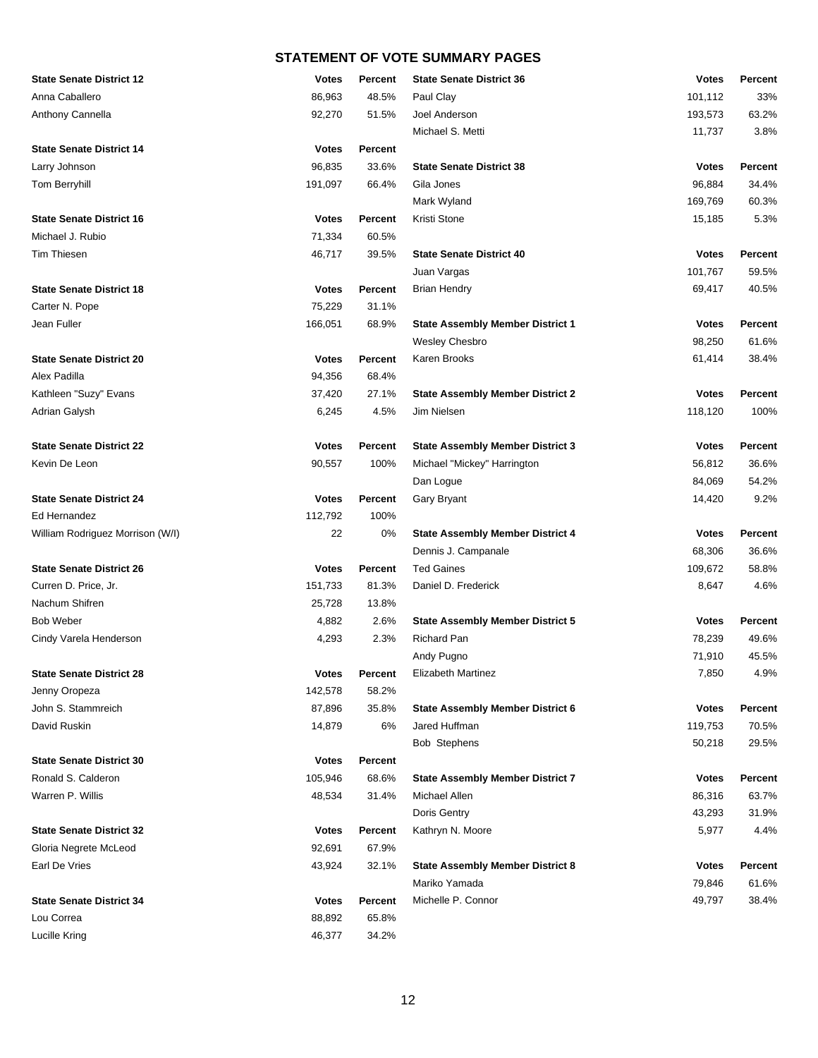| <b>State Senate District 12</b>  | <b>Votes</b> | Percent        | <b>State Senate District 36</b>         | <b>Votes</b> | Percent |
|----------------------------------|--------------|----------------|-----------------------------------------|--------------|---------|
| Anna Caballero                   | 86,963       | 48.5%          | Paul Clay                               | 101,112      | 33%     |
| Anthony Cannella                 | 92,270       | 51.5%          | Joel Anderson                           | 193,573      | 63.2%   |
|                                  |              |                | Michael S. Metti                        | 11,737       | 3.8%    |
| <b>State Senate District 14</b>  | <b>Votes</b> | Percent        |                                         |              |         |
| Larry Johnson                    | 96,835       | 33.6%          | <b>State Senate District 38</b>         | <b>Votes</b> | Percent |
| Tom Berryhill                    | 191,097      | 66.4%          | Gila Jones                              | 96,884       | 34.4%   |
|                                  |              |                | Mark Wyland                             | 169,769      | 60.3%   |
| <b>State Senate District 16</b>  | <b>Votes</b> | <b>Percent</b> | Kristi Stone                            | 15,185       | 5.3%    |
| Michael J. Rubio                 | 71,334       | 60.5%          |                                         |              |         |
| Tim Thiesen                      | 46,717       | 39.5%          | <b>State Senate District 40</b>         | <b>Votes</b> | Percent |
|                                  |              |                | Juan Vargas                             | 101,767      | 59.5%   |
| <b>State Senate District 18</b>  | <b>Votes</b> | <b>Percent</b> | <b>Brian Hendry</b>                     | 69,417       | 40.5%   |
| Carter N. Pope                   | 75,229       | 31.1%          |                                         |              |         |
| Jean Fuller                      | 166,051      | 68.9%          | <b>State Assembly Member District 1</b> | <b>Votes</b> | Percent |
|                                  |              |                | Wesley Chesbro                          | 98,250       | 61.6%   |
| <b>State Senate District 20</b>  | <b>Votes</b> | <b>Percent</b> | Karen Brooks                            | 61,414       | 38.4%   |
| Alex Padilla                     | 94,356       | 68.4%          |                                         |              |         |
| Kathleen "Suzy" Evans            | 37,420       | 27.1%          | <b>State Assembly Member District 2</b> | <b>Votes</b> | Percent |
| Adrian Galysh                    | 6,245        | 4.5%           | Jim Nielsen                             | 118,120      | 100%    |
|                                  |              |                |                                         |              |         |
| <b>State Senate District 22</b>  | <b>Votes</b> | Percent        | <b>State Assembly Member District 3</b> | <b>Votes</b> | Percent |
| Kevin De Leon                    | 90,557       | 100%           | Michael "Mickey" Harrington             | 56,812       | 36.6%   |
|                                  |              |                | Dan Logue                               | 84,069       | 54.2%   |
| <b>State Senate District 24</b>  | <b>Votes</b> | <b>Percent</b> | <b>Gary Bryant</b>                      | 14,420       | 9.2%    |
| Ed Hernandez                     | 112,792      | 100%           |                                         |              |         |
| William Rodriguez Morrison (W/I) | 22           | 0%             | <b>State Assembly Member District 4</b> | <b>Votes</b> | Percent |
|                                  |              |                | Dennis J. Campanale                     | 68,306       | 36.6%   |
| <b>State Senate District 26</b>  | <b>Votes</b> | <b>Percent</b> | <b>Ted Gaines</b>                       | 109,672      | 58.8%   |
| Curren D. Price, Jr.             | 151,733      | 81.3%          | Daniel D. Frederick                     | 8,647        | 4.6%    |
| Nachum Shifren                   | 25,728       | 13.8%          |                                         |              |         |
| <b>Bob Weber</b>                 | 4,882        | 2.6%           | <b>State Assembly Member District 5</b> | <b>Votes</b> | Percent |
| Cindy Varela Henderson           | 4,293        | 2.3%           | <b>Richard Pan</b>                      | 78,239       | 49.6%   |
|                                  |              |                | Andy Pugno                              | 71,910       | 45.5%   |
| <b>State Senate District 28</b>  | <b>Votes</b> | Percent        | Elizabeth Martinez                      | 7,850        | 4.9%    |
| Jenny Oropeza                    | 142,578      | 58.2%          |                                         |              |         |
| John S. Stammreich               | 87,896       | 35.8%          | <b>State Assembly Member District 6</b> | <b>Votes</b> | Percent |
| David Ruskin                     | 14,879       | 6%             | Jared Huffman                           | 119,753      | 70.5%   |
|                                  |              |                | <b>Bob Stephens</b>                     | 50,218       | 29.5%   |
| <b>State Senate District 30</b>  | <b>Votes</b> | Percent        |                                         |              |         |
| Ronald S. Calderon               | 105,946      | 68.6%          | <b>State Assembly Member District 7</b> | <b>Votes</b> | Percent |
| Warren P. Willis                 | 48,534       | 31.4%          | Michael Allen                           | 86,316       | 63.7%   |
|                                  |              |                | Doris Gentry                            | 43,293       | 31.9%   |
| <b>State Senate District 32</b>  | <b>Votes</b> | <b>Percent</b> | Kathryn N. Moore                        | 5,977        | 4.4%    |
| Gloria Negrete McLeod            | 92,691       | 67.9%          |                                         |              |         |
| Earl De Vries                    | 43,924       | 32.1%          | <b>State Assembly Member District 8</b> | <b>Votes</b> | Percent |
|                                  |              |                | Mariko Yamada                           | 79,846       | 61.6%   |
| <b>State Senate District 34</b>  | <b>Votes</b> | Percent        | Michelle P. Connor                      | 49,797       | 38.4%   |
| Lou Correa                       | 88,892       | 65.8%          |                                         |              |         |
| Lucille Kring                    | 46,377       | 34.2%          |                                         |              |         |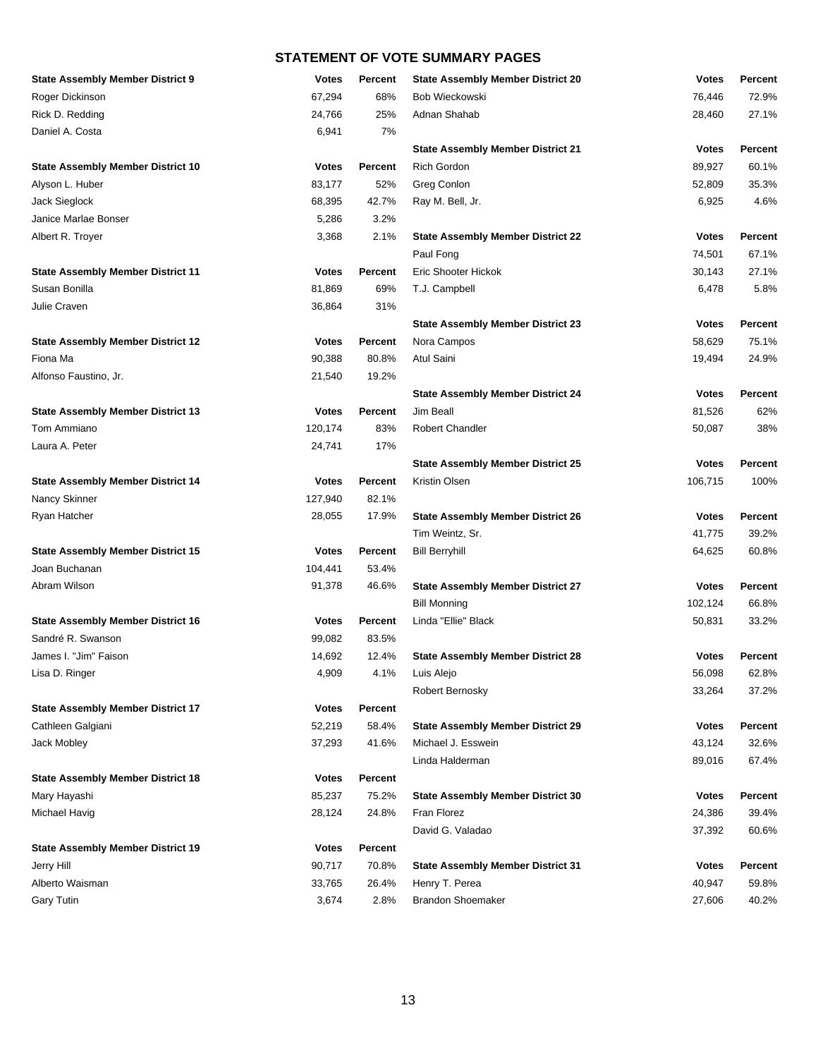| <b>State Assembly Member District 9</b>  | <b>Votes</b> | <b>Percent</b> | <b>State Assembly Member District 20</b> | <b>Votes</b> | Percent        |
|------------------------------------------|--------------|----------------|------------------------------------------|--------------|----------------|
| Roger Dickinson                          | 67,294       | 68%            | Bob Wieckowski                           | 76,446       | 72.9%          |
| Rick D. Redding                          | 24,766       | 25%            | Adnan Shahab                             | 28,460       | 27.1%          |
| Daniel A. Costa                          | 6,941        | 7%             |                                          |              |                |
|                                          |              |                | <b>State Assembly Member District 21</b> | <b>Votes</b> | Percent        |
| <b>State Assembly Member District 10</b> | <b>Votes</b> | Percent        | <b>Rich Gordon</b>                       | 89,927       | 60.1%          |
| Alyson L. Huber                          | 83,177       | 52%            | Greg Conlon                              | 52,809       | 35.3%          |
| Jack Sieglock                            | 68,395       | 42.7%          | Ray M. Bell, Jr.                         | 6,925        | 4.6%           |
| Janice Marlae Bonser                     | 5,286        | 3.2%           |                                          |              |                |
| Albert R. Troyer                         | 3,368        | 2.1%           | <b>State Assembly Member District 22</b> | <b>Votes</b> | Percent        |
|                                          |              |                | Paul Fong                                | 74,501       | 67.1%          |
| <b>State Assembly Member District 11</b> | <b>Votes</b> | <b>Percent</b> | Eric Shooter Hickok                      | 30,143       | 27.1%          |
| Susan Bonilla                            | 81,869       | 69%            | T.J. Campbell                            | 6,478        | 5.8%           |
| Julie Craven                             | 36,864       | 31%            |                                          |              |                |
|                                          |              |                | <b>State Assembly Member District 23</b> | <b>Votes</b> | Percent        |
| <b>State Assembly Member District 12</b> | <b>Votes</b> | Percent        | Nora Campos                              | 58,629       | 75.1%          |
| Fiona Ma                                 | 90,388       | 80.8%          | Atul Saini                               | 19,494       | 24.9%          |
| Alfonso Faustino, Jr.                    | 21,540       | 19.2%          |                                          |              |                |
|                                          |              |                | <b>State Assembly Member District 24</b> | <b>Votes</b> | <b>Percent</b> |
| <b>State Assembly Member District 13</b> | <b>Votes</b> | Percent        | Jim Beall                                | 81,526       | 62%            |
| Tom Ammiano                              | 120,174      | 83%            | <b>Robert Chandler</b>                   | 50,087       | 38%            |
| Laura A. Peter                           | 24,741       | 17%            |                                          |              |                |
|                                          |              |                | <b>State Assembly Member District 25</b> | <b>Votes</b> | Percent        |
| <b>State Assembly Member District 14</b> | <b>Votes</b> | <b>Percent</b> | Kristin Olsen                            | 106,715      | 100%           |
| Nancy Skinner                            | 127,940      | 82.1%          |                                          |              |                |
| Ryan Hatcher                             | 28,055       | 17.9%          | <b>State Assembly Member District 26</b> | <b>Votes</b> | Percent        |
|                                          |              |                | Tim Weintz, Sr.                          | 41,775       | 39.2%          |
| <b>State Assembly Member District 15</b> | <b>Votes</b> | Percent        | <b>Bill Berryhill</b>                    | 64,625       | 60.8%          |
| Joan Buchanan                            | 104,441      | 53.4%          |                                          |              |                |
| Abram Wilson                             | 91,378       | 46.6%          | <b>State Assembly Member District 27</b> | <b>Votes</b> | Percent        |
|                                          |              |                | <b>Bill Monning</b>                      | 102,124      | 66.8%          |
| <b>State Assembly Member District 16</b> | <b>Votes</b> | Percent        | Linda "Ellie" Black                      | 50,831       | 33.2%          |
| Sandré R. Swanson                        | 99,082       | 83.5%          |                                          |              |                |
| James I. "Jim" Faison                    | 14,692       | 12.4%          | <b>State Assembly Member District 28</b> | <b>Votes</b> | Percent        |
| Lisa D. Ringer                           | 4,909        | 4.1%           | Luis Alejo                               | 56,098       | 62.8%          |
|                                          |              |                | Robert Bernosky                          | 33,264       | 37.2%          |
| <b>State Assembly Member District 17</b> | <b>Votes</b> | Percent        |                                          |              |                |
| Cathleen Galgiani                        | 52,219       | 58.4%          | <b>State Assembly Member District 29</b> | <b>Votes</b> | Percent        |
| Jack Mobley                              | 37,293       | 41.6%          | Michael J. Esswein                       | 43,124       | 32.6%          |
|                                          |              |                | Linda Halderman                          | 89,016       | 67.4%          |
| <b>State Assembly Member District 18</b> | <b>Votes</b> | <b>Percent</b> |                                          |              |                |
| Mary Hayashi                             | 85,237       | 75.2%          | <b>State Assembly Member District 30</b> | <b>Votes</b> | <b>Percent</b> |
| Michael Havig                            | 28,124       | 24.8%          | Fran Florez                              | 24,386       | 39.4%          |
|                                          |              |                | David G. Valadao                         | 37,392       | 60.6%          |
| <b>State Assembly Member District 19</b> | <b>Votes</b> | Percent        |                                          |              |                |
| Jerry Hill                               | 90,717       | 70.8%          | <b>State Assembly Member District 31</b> | <b>Votes</b> | Percent        |
| Alberto Waisman                          | 33,765       | 26.4%          | Henry T. Perea                           | 40,947       | 59.8%          |
| <b>Gary Tutin</b>                        | 3,674        | 2.8%           | <b>Brandon Shoemaker</b>                 | 27,606       | 40.2%          |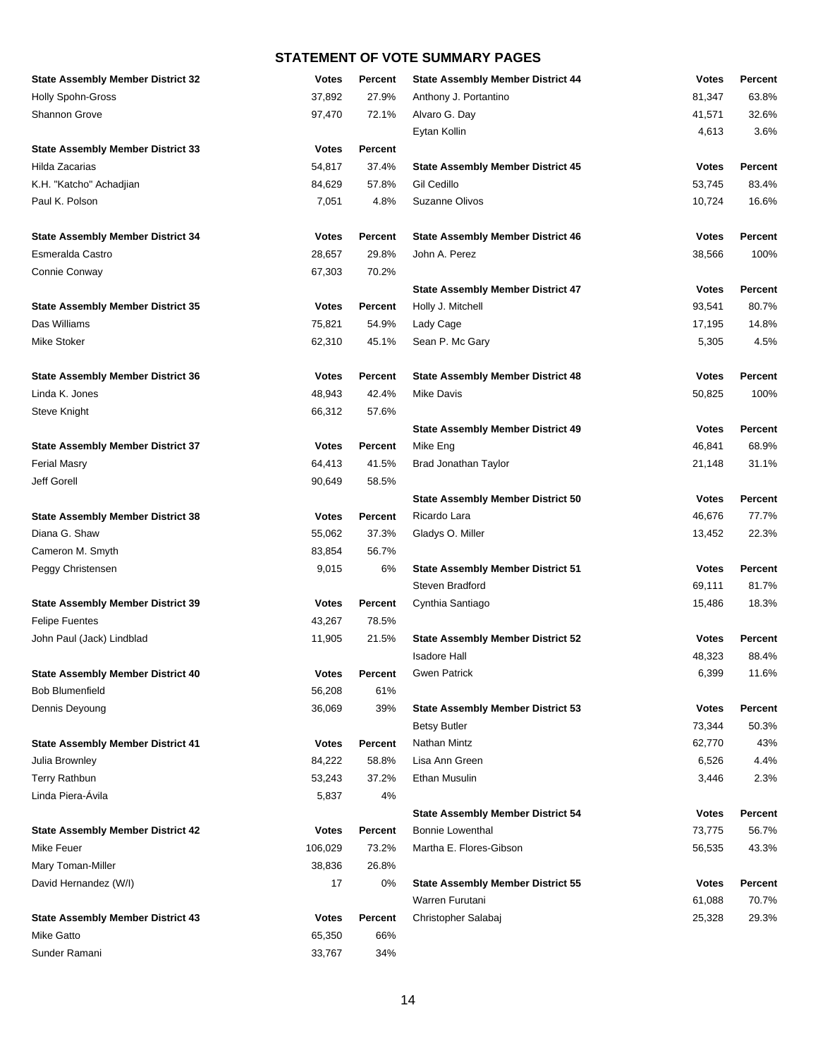| <b>State Assembly Member District 32</b> | <b>Votes</b> | <b>Percent</b> | <b>State Assembly Member District 44</b> | <b>Votes</b> | Percent        |
|------------------------------------------|--------------|----------------|------------------------------------------|--------------|----------------|
| <b>Holly Spohn-Gross</b>                 | 37,892       | 27.9%          | Anthony J. Portantino                    | 81,347       | 63.8%          |
| Shannon Grove                            | 97,470       | 72.1%          | Alvaro G. Day                            | 41,571       | 32.6%          |
|                                          |              |                | Eytan Kollin                             | 4,613        | 3.6%           |
| <b>State Assembly Member District 33</b> | <b>Votes</b> | <b>Percent</b> |                                          |              |                |
| Hilda Zacarias                           | 54,817       | 37.4%          | <b>State Assembly Member District 45</b> | <b>Votes</b> | Percent        |
| K.H. "Katcho" Achadjian                  | 84,629       | 57.8%          | Gil Cedillo                              | 53,745       | 83.4%          |
| Paul K. Polson                           | 7,051        | 4.8%           | Suzanne Olivos                           | 10,724       | 16.6%          |
| <b>State Assembly Member District 34</b> | <b>Votes</b> | <b>Percent</b> | <b>State Assembly Member District 46</b> | <b>Votes</b> | Percent        |
| Esmeralda Castro                         | 28,657       | 29.8%          | John A. Perez                            | 38,566       | 100%           |
| Connie Conway                            | 67,303       | 70.2%          |                                          |              |                |
|                                          |              |                | <b>State Assembly Member District 47</b> | <b>Votes</b> | Percent        |
| <b>State Assembly Member District 35</b> | <b>Votes</b> | Percent        | Holly J. Mitchell                        | 93,541       | 80.7%          |
| Das Williams                             | 75,821       | 54.9%          | Lady Cage                                | 17,195       | 14.8%          |
| Mike Stoker                              | 62,310       | 45.1%          | Sean P. Mc Gary                          | 5,305        | 4.5%           |
| <b>State Assembly Member District 36</b> | <b>Votes</b> | Percent        | <b>State Assembly Member District 48</b> | <b>Votes</b> | Percent        |
| Linda K. Jones                           | 48,943       | 42.4%          | <b>Mike Davis</b>                        | 50,825       | 100%           |
| Steve Knight                             | 66,312       | 57.6%          |                                          |              |                |
|                                          |              |                | <b>State Assembly Member District 49</b> | <b>Votes</b> | <b>Percent</b> |
| <b>State Assembly Member District 37</b> | <b>Votes</b> | Percent        | Mike Eng                                 | 46,841       | 68.9%          |
| <b>Ferial Masry</b>                      | 64,413       | 41.5%          | Brad Jonathan Taylor                     | 21,148       | 31.1%          |
| Jeff Gorell                              | 90,649       | 58.5%          |                                          |              |                |
|                                          |              |                | <b>State Assembly Member District 50</b> | <b>Votes</b> | <b>Percent</b> |
| <b>State Assembly Member District 38</b> | <b>Votes</b> | <b>Percent</b> | Ricardo Lara                             | 46,676       | 77.7%          |
| Diana G. Shaw                            | 55,062       | 37.3%          | Gladys O. Miller                         | 13,452       | 22.3%          |
| Cameron M. Smyth                         | 83,854       | 56.7%          |                                          |              |                |
| Peggy Christensen                        | 9,015        | 6%             | <b>State Assembly Member District 51</b> | <b>Votes</b> | Percent        |
|                                          |              |                | Steven Bradford                          | 69,111       | 81.7%          |
| <b>State Assembly Member District 39</b> | <b>Votes</b> | Percent        | Cynthia Santiago                         | 15,486       | 18.3%          |
| <b>Felipe Fuentes</b>                    | 43,267       | 78.5%          |                                          |              |                |
| John Paul (Jack) Lindblad                | 11,905       | 21.5%          | <b>State Assembly Member District 52</b> | <b>Votes</b> | Percent        |
|                                          |              |                | <b>Isadore Hall</b>                      | 48,323       | 88.4%          |
| <b>State Assembly Member District 40</b> | Votes        | Percent        | Gwen Patrick                             | 6,399        | 11.6%          |
| <b>Bob Blumenfield</b>                   | 56,208       | 61%            |                                          |              |                |
| Dennis Deyoung                           | 36,069       | 39%            | <b>State Assembly Member District 53</b> | <b>Votes</b> | <b>Percent</b> |
|                                          |              |                | <b>Betsy Butler</b>                      | 73,344       | 50.3%          |
| <b>State Assembly Member District 41</b> | <b>Votes</b> | Percent        | Nathan Mintz                             | 62,770       | 43%            |
| Julia Brownley                           | 84,222       | 58.8%          | Lisa Ann Green                           | 6,526        | 4.4%           |
| <b>Terry Rathbun</b>                     | 53,243       | 37.2%          | Ethan Musulin                            | 3,446        | 2.3%           |
| Linda Piera-Ávila                        | 5,837        | 4%             |                                          |              |                |
|                                          |              |                | <b>State Assembly Member District 54</b> | <b>Votes</b> | <b>Percent</b> |
| <b>State Assembly Member District 42</b> | <b>Votes</b> | Percent        | <b>Bonnie Lowenthal</b>                  | 73,775       | 56.7%          |
| Mike Feuer                               | 106,029      | 73.2%          | Martha E. Flores-Gibson                  | 56,535       | 43.3%          |
| Mary Toman-Miller                        | 38,836       | 26.8%          |                                          |              |                |
| David Hernandez (W/I)                    | 17           | 0%             | <b>State Assembly Member District 55</b> | <b>Votes</b> | Percent        |
|                                          |              |                | Warren Furutani                          | 61,088       | 70.7%          |
| <b>State Assembly Member District 43</b> | <b>Votes</b> | Percent        | Christopher Salabaj                      | 25,328       | 29.3%          |
| Mike Gatto                               | 65,350       | 66%            |                                          |              |                |
| Sunder Ramani                            | 33,767       | 34%            |                                          |              |                |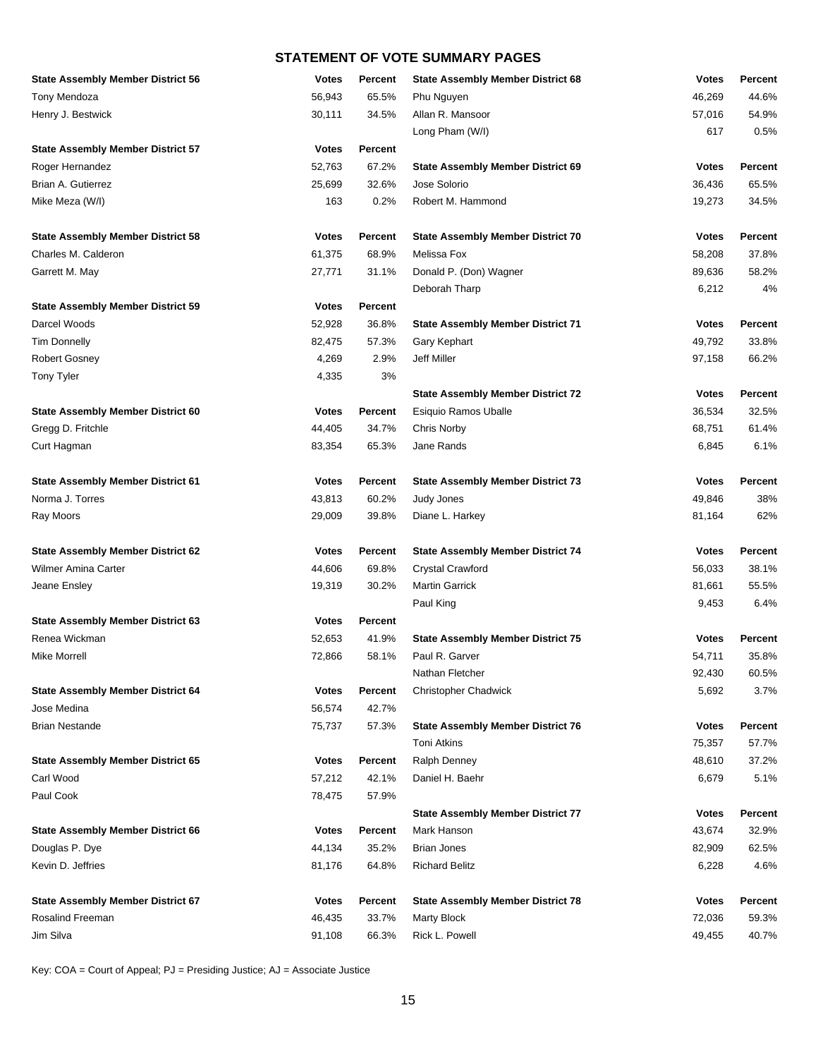| <b>State Assembly Member District 56</b> | <b>Votes</b> | Percent        | <b>State Assembly Member District 68</b> | <b>Votes</b>    | Percent        |
|------------------------------------------|--------------|----------------|------------------------------------------|-----------------|----------------|
| Tony Mendoza                             | 56,943       | 65.5%          | Phu Nguyen                               | 46,269          | 44.6%          |
| Henry J. Bestwick                        | 30,111       | 34.5%          | Allan R. Mansoor                         | 57,016          | 54.9%          |
|                                          |              |                | Long Pham (W/I)                          | 617             | 0.5%           |
| <b>State Assembly Member District 57</b> | <b>Votes</b> | Percent        |                                          |                 |                |
| Roger Hernandez                          | 52,763       | 67.2%          | <b>State Assembly Member District 69</b> | <b>Votes</b>    | Percent        |
| Brian A. Gutierrez                       | 25,699       | 32.6%          | Jose Solorio                             | 36,436          | 65.5%          |
| Mike Meza (W/I)                          | 163          | 0.2%           | Robert M. Hammond                        | 19,273          | 34.5%          |
| <b>State Assembly Member District 58</b> | <b>Votes</b> | Percent        | <b>State Assembly Member District 70</b> | <b>Votes</b>    | Percent        |
| Charles M. Calderon                      | 61,375       | 68.9%          | Melissa Fox                              | 58,208          | 37.8%          |
| Garrett M. May                           | 27,771       | 31.1%          | Donald P. (Don) Wagner<br>Deborah Tharp  | 89,636<br>6,212 | 58.2%<br>4%    |
| <b>State Assembly Member District 59</b> | <b>Votes</b> | Percent        |                                          |                 |                |
| Darcel Woods                             | 52,928       | 36.8%          | <b>State Assembly Member District 71</b> | <b>Votes</b>    | <b>Percent</b> |
| <b>Tim Donnelly</b>                      | 82,475       | 57.3%          | Gary Kephart                             | 49,792          | 33.8%          |
| <b>Robert Gosney</b>                     | 4,269        | 2.9%           | Jeff Miller                              | 97,158          | 66.2%          |
| <b>Tony Tyler</b>                        | 4,335        | 3%             |                                          |                 |                |
|                                          |              |                | <b>State Assembly Member District 72</b> | <b>Votes</b>    | Percent        |
| <b>State Assembly Member District 60</b> | <b>Votes</b> | Percent        | Esiquio Ramos Uballe                     | 36,534          | 32.5%          |
| Gregg D. Fritchle                        | 44,405       | 34.7%          | Chris Norby                              | 68,751          | 61.4%          |
| Curt Hagman                              | 83,354       | 65.3%          | Jane Rands                               | 6,845           | 6.1%           |
| <b>State Assembly Member District 61</b> | <b>Votes</b> | Percent        | <b>State Assembly Member District 73</b> | <b>Votes</b>    | Percent        |
| Norma J. Torres                          | 43,813       | 60.2%          | Judy Jones                               | 49,846          | 38%            |
| Ray Moors                                | 29,009       | 39.8%          | Diane L. Harkey                          | 81,164          | 62%            |
| <b>State Assembly Member District 62</b> | <b>Votes</b> | Percent        | <b>State Assembly Member District 74</b> | <b>Votes</b>    | Percent        |
| <b>Wilmer Amina Carter</b>               | 44,606       | 69.8%          | Crystal Crawford                         | 56,033          | 38.1%          |
| Jeane Ensley                             | 19,319       | 30.2%          | <b>Martin Garrick</b>                    | 81,661          | 55.5%          |
|                                          |              |                | Paul King                                | 9,453           | 6.4%           |
| <b>State Assembly Member District 63</b> | <b>Votes</b> | Percent        |                                          |                 |                |
| Renea Wickman                            | 52,653       | 41.9%          | <b>State Assembly Member District 75</b> | <b>Votes</b>    | Percent        |
| <b>Mike Morrell</b>                      | 72,866       | 58.1%          | Paul R. Garver                           | 54,711          | 35.8%          |
|                                          |              |                | Nathan Fletcher                          | 92,430          | 60.5%          |
| <b>State Assembly Member District 64</b> | <b>Votes</b> | Percent        | <b>Christopher Chadwick</b>              | 5,692           | 3.7%           |
| Jose Medina                              | 56,574       | 42.7%          |                                          |                 |                |
| <b>Brian Nestande</b>                    | 75,737       | 57.3%          | <b>State Assembly Member District 76</b> | <b>Votes</b>    | Percent        |
|                                          |              |                | Toni Atkins                              | 75,357          | 57.7%          |
| <b>State Assembly Member District 65</b> | <b>Votes</b> | Percent        | <b>Ralph Denney</b>                      | 48,610          | 37.2%          |
| Carl Wood                                | 57,212       | 42.1%          | Daniel H. Baehr                          | 6,679           | 5.1%           |
| Paul Cook                                | 78,475       | 57.9%          |                                          |                 |                |
|                                          |              |                | <b>State Assembly Member District 77</b> | <b>Votes</b>    | <b>Percent</b> |
| <b>State Assembly Member District 66</b> | <b>Votes</b> | <b>Percent</b> | Mark Hanson                              | 43,674          | 32.9%          |
| Douglas P. Dye                           | 44,134       | 35.2%          | <b>Brian Jones</b>                       | 82,909          | 62.5%          |
| Kevin D. Jeffries                        | 81,176       | 64.8%          | <b>Richard Belitz</b>                    | 6,228           | 4.6%           |
| <b>State Assembly Member District 67</b> | <b>Votes</b> | Percent        | <b>State Assembly Member District 78</b> | <b>Votes</b>    | Percent        |
| Rosalind Freeman                         | 46,435       | 33.7%          | <b>Marty Block</b>                       | 72,036          | 59.3%          |
| Jim Silva                                | 91,108       | 66.3%          | Rick L. Powell                           | 49,455          | 40.7%          |

Key: COA = Court of Appeal; PJ = Presiding Justice; AJ = Associate Justice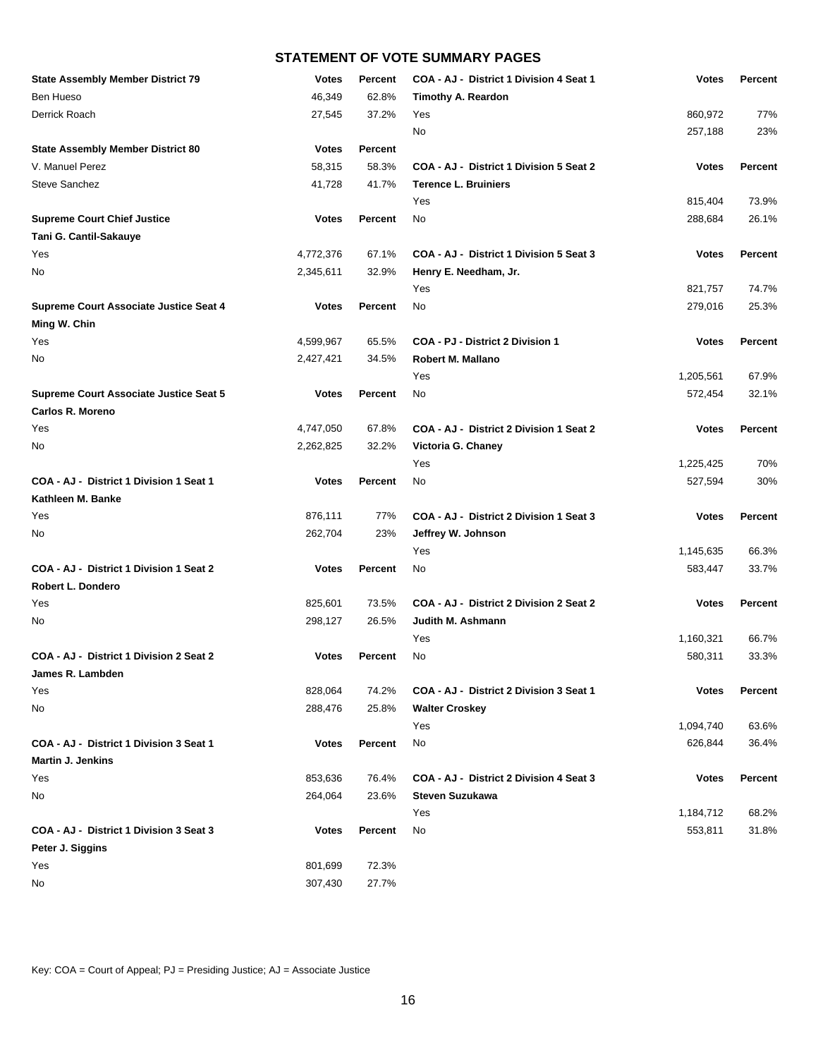| <b>State Assembly Member District 79</b> | <b>Votes</b> | <b>Percent</b> | COA - AJ - District 1 Division 4 Seat 1 | <b>Votes</b> | Percent        |
|------------------------------------------|--------------|----------------|-----------------------------------------|--------------|----------------|
| Ben Hueso                                | 46,349       | 62.8%          | <b>Timothy A. Reardon</b>               |              |                |
| Derrick Roach                            | 27,545       | 37.2%          | Yes                                     | 860,972      | 77%            |
|                                          |              |                | <b>No</b>                               | 257,188      | 23%            |
| <b>State Assembly Member District 80</b> | <b>Votes</b> | Percent        |                                         |              |                |
| V. Manuel Perez                          | 58,315       | 58.3%          | COA - AJ - District 1 Division 5 Seat 2 | <b>Votes</b> | <b>Percent</b> |
| <b>Steve Sanchez</b>                     | 41,728       | 41.7%          | <b>Terence L. Bruiniers</b>             |              |                |
|                                          |              |                | Yes                                     | 815,404      | 73.9%          |
| <b>Supreme Court Chief Justice</b>       | <b>Votes</b> | <b>Percent</b> | No                                      | 288,684      | 26.1%          |
| Tani G. Cantil-Sakauye                   |              |                |                                         |              |                |
| Yes                                      | 4,772,376    | 67.1%          | COA - AJ - District 1 Division 5 Seat 3 | <b>Votes</b> | <b>Percent</b> |
| No                                       | 2,345,611    | 32.9%          | Henry E. Needham, Jr.                   |              |                |
|                                          |              |                | Yes                                     | 821,757      | 74.7%          |
| Supreme Court Associate Justice Seat 4   | <b>Votes</b> | <b>Percent</b> | No                                      | 279,016      | 25.3%          |
| Ming W. Chin                             |              |                |                                         |              |                |
| Yes                                      | 4,599,967    | 65.5%          | COA - PJ - District 2 Division 1        | <b>Votes</b> | Percent        |
| No                                       | 2,427,421    | 34.5%          | <b>Robert M. Mallano</b>                |              |                |
|                                          |              |                | Yes                                     | 1,205,561    | 67.9%          |
| Supreme Court Associate Justice Seat 5   | <b>Votes</b> | <b>Percent</b> | No                                      | 572,454      | 32.1%          |
| <b>Carlos R. Moreno</b>                  |              |                |                                         |              |                |
| Yes                                      | 4,747,050    | 67.8%          | COA - AJ - District 2 Division 1 Seat 2 | <b>Votes</b> | Percent        |
| No                                       | 2,262,825    | 32.2%          | Victoria G. Chaney                      |              |                |
|                                          |              |                | Yes                                     | 1,225,425    | 70%            |
| COA - AJ - District 1 Division 1 Seat 1  | <b>Votes</b> | <b>Percent</b> | No                                      | 527,594      | 30%            |
| Kathleen M. Banke                        |              |                |                                         |              |                |
| Yes                                      | 876,111      | 77%            | COA - AJ - District 2 Division 1 Seat 3 | <b>Votes</b> | Percent        |
| No                                       | 262,704      | 23%            | Jeffrey W. Johnson                      |              |                |
|                                          |              |                | Yes                                     | 1,145,635    | 66.3%          |
| COA - AJ - District 1 Division 1 Seat 2  | <b>Votes</b> | <b>Percent</b> | No                                      | 583,447      | 33.7%          |
| Robert L. Dondero                        |              |                |                                         |              |                |
| Yes                                      | 825,601      | 73.5%          | COA - AJ - District 2 Division 2 Seat 2 | <b>Votes</b> | Percent        |
| No                                       | 298,127      | 26.5%          | Judith M. Ashmann                       |              |                |
|                                          |              |                | Yes                                     | 1,160,321    | 66.7%          |
| COA - AJ - District 1 Division 2 Seat 2  | <b>Votes</b> | <b>Percent</b> | No                                      | 580,311      | 33.3%          |
| James R. Lambden                         |              |                |                                         |              |                |
| Yes                                      | 828,064      | 74.2%          | COA - AJ - District 2 Division 3 Seat 1 | <b>Votes</b> | Percent        |
| No                                       | 288,476      | 25.8%          | <b>Walter Croskey</b>                   |              |                |
|                                          |              |                | Yes                                     | 1,094,740    | 63.6%          |
| COA - AJ - District 1 Division 3 Seat 1  | <b>Votes</b> | Percent        | No                                      | 626,844      | 36.4%          |
| <b>Martin J. Jenkins</b>                 |              |                |                                         |              |                |
| Yes                                      | 853,636      | 76.4%          | COA - AJ - District 2 Division 4 Seat 3 | <b>Votes</b> | Percent        |
| No                                       | 264,064      | 23.6%          | <b>Steven Suzukawa</b>                  |              |                |
|                                          |              |                | Yes                                     | 1,184,712    | 68.2%          |
| COA - AJ - District 1 Division 3 Seat 3  | <b>Votes</b> | Percent        | No                                      | 553,811      | 31.8%          |
| Peter J. Siggins                         |              |                |                                         |              |                |
| Yes                                      | 801,699      | 72.3%          |                                         |              |                |
| No                                       | 307,430      | 27.7%          |                                         |              |                |

Key: COA = Court of Appeal; PJ = Presiding Justice; AJ = Associate Justice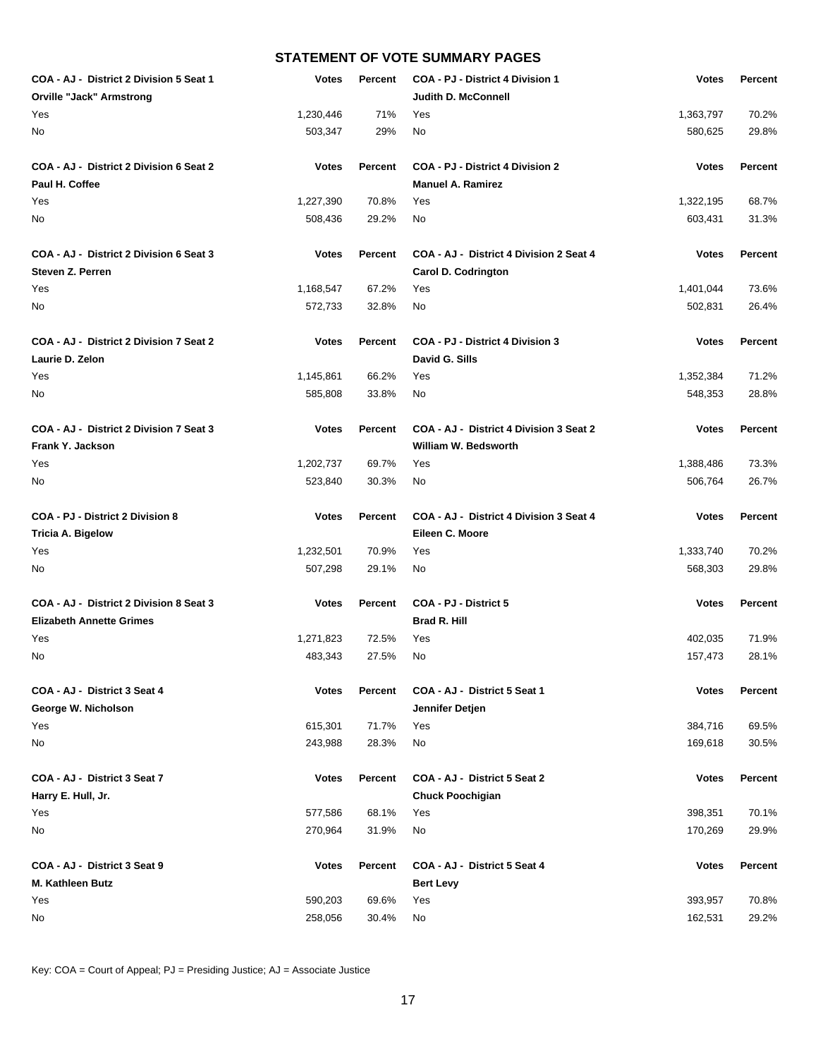| COA - AJ - District 2 Division 5 Seat 1 | <b>Votes</b> | Percent | COA - PJ - District 4 Division 1        | <b>Votes</b> | Percent        |
|-----------------------------------------|--------------|---------|-----------------------------------------|--------------|----------------|
| <b>Orville "Jack" Armstrong</b>         |              |         | Judith D. McConnell                     |              |                |
| Yes                                     | 1,230,446    | 71%     | Yes                                     | 1,363,797    | 70.2%          |
| No                                      | 503,347      | 29%     | No.                                     | 580,625      | 29.8%          |
| COA - AJ - District 2 Division 6 Seat 2 | <b>Votes</b> | Percent | <b>COA - PJ - District 4 Division 2</b> | <b>Votes</b> | <b>Percent</b> |
| Paul H. Coffee                          |              |         | <b>Manuel A. Ramirez</b>                |              |                |
| Yes                                     | 1,227,390    | 70.8%   | Yes                                     | 1,322,195    | 68.7%          |
| No                                      | 508,436      | 29.2%   | No                                      | 603,431      | 31.3%          |
| COA - AJ - District 2 Division 6 Seat 3 | <b>Votes</b> | Percent | COA - AJ - District 4 Division 2 Seat 4 | <b>Votes</b> | Percent        |
| Steven Z. Perren                        |              |         | <b>Carol D. Codrington</b>              |              |                |
| Yes                                     | 1,168,547    | 67.2%   | Yes                                     | 1,401,044    | 73.6%          |
| No                                      | 572,733      | 32.8%   | No                                      | 502,831      | 26.4%          |
| COA - AJ - District 2 Division 7 Seat 2 | <b>Votes</b> | Percent | <b>COA - PJ - District 4 Division 3</b> | <b>Votes</b> | Percent        |
| Laurie D. Zelon                         |              |         | David G. Sills                          |              |                |
| Yes                                     | 1,145,861    | 66.2%   | Yes                                     | 1,352,384    | 71.2%          |
| No                                      | 585,808      | 33.8%   | No                                      | 548,353      | 28.8%          |
| COA - AJ - District 2 Division 7 Seat 3 | <b>Votes</b> | Percent | COA - AJ - District 4 Division 3 Seat 2 | <b>Votes</b> | Percent        |
| Frank Y. Jackson                        |              |         | William W. Bedsworth                    |              |                |
| Yes                                     | 1,202,737    | 69.7%   | Yes                                     | 1,388,486    | 73.3%          |
| No                                      | 523,840      | 30.3%   | No                                      | 506,764      | 26.7%          |
| COA - PJ - District 2 Division 8        | <b>Votes</b> | Percent | COA - AJ - District 4 Division 3 Seat 4 | <b>Votes</b> | Percent        |
| <b>Tricia A. Bigelow</b>                |              |         | Eileen C. Moore                         |              |                |
| Yes                                     | 1,232,501    | 70.9%   | Yes                                     | 1,333,740    | 70.2%          |
| No                                      | 507,298      | 29.1%   | No                                      | 568,303      | 29.8%          |
| COA - AJ - District 2 Division 8 Seat 3 | <b>Votes</b> | Percent | COA - PJ - District 5                   | <b>Votes</b> | Percent        |
| <b>Elizabeth Annette Grimes</b>         |              |         | Brad R. Hill                            |              |                |
| Yes                                     | 1,271,823    | 72.5%   | Yes                                     | 402,035      | 71.9%          |
| No                                      | 483,343      | 27.5%   | No                                      | 157,473      | 28.1%          |
| COA - AJ - District 3 Seat 4            | <b>Votes</b> | Percent | COA - AJ - District 5 Seat 1            | <b>Votes</b> | Percent        |
| George W. Nicholson                     |              |         | Jennifer Detjen                         |              |                |
| Yes                                     | 615,301      | 71.7%   | Yes                                     | 384,716      | 69.5%          |
| No                                      | 243,988      | 28.3%   | No                                      | 169,618      | 30.5%          |
| COA - AJ - District 3 Seat 7            | <b>Votes</b> | Percent | COA - AJ - District 5 Seat 2            | <b>Votes</b> | <b>Percent</b> |
| Harry E. Hull, Jr.                      |              |         | <b>Chuck Poochigian</b>                 |              |                |
| Yes                                     | 577,586      | 68.1%   | Yes                                     | 398,351      | 70.1%          |
| No                                      | 270,964      | 31.9%   | No                                      | 170,269      | 29.9%          |
| COA - AJ - District 3 Seat 9            | <b>Votes</b> | Percent | COA - AJ - District 5 Seat 4            | <b>Votes</b> | Percent        |
| M. Kathleen Butz                        |              |         | <b>Bert Levy</b>                        |              |                |
| Yes                                     | 590,203      | 69.6%   | Yes                                     | 393,957      | 70.8%          |
| No                                      | 258,056      | 30.4%   | No                                      | 162,531      | 29.2%          |

Key: COA = Court of Appeal; PJ = Presiding Justice; AJ = Associate Justice